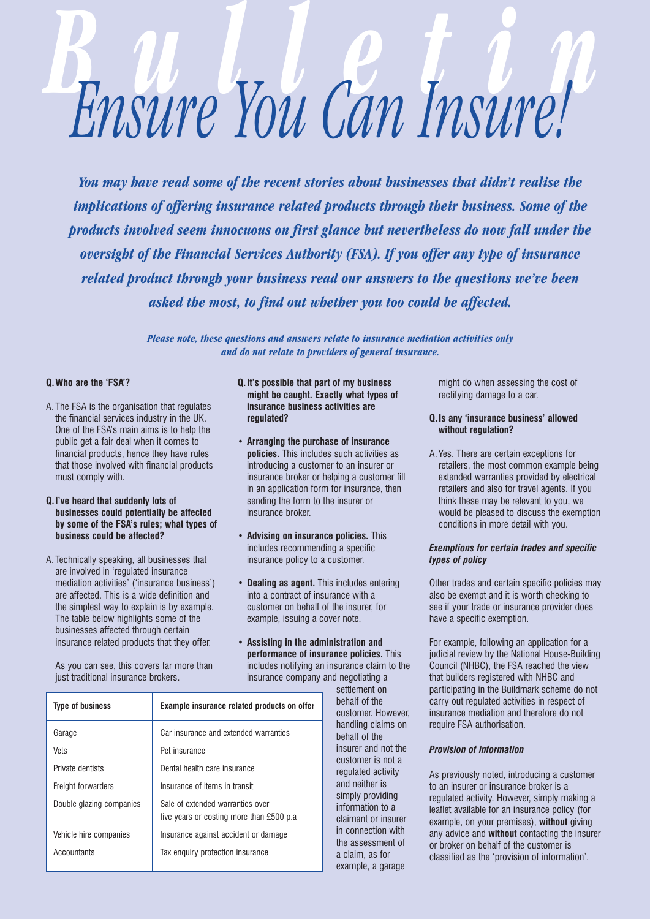# *Bulletin Ensure You Can Insure!*

*You may have read some of the recent stories about businesses that didn't realise the implications of offering insurance related products through their business. Some of the products involved seem innocuous on first glance but nevertheless do now fall under the oversight of the Financial Services Authority (FSA). If you offer any type of insurance related product through your business read our answers to the questions we've been asked the most, to find out whether you too could be affected.*

> *Please note, these questions and answers relate to insurance mediation activities only and do not relate to providers of general insurance.*

## **Q.Who are the 'FSA'?**

- A. The FSA is the organisation that regulates the financial services industry in the UK. One of the FSA's main aims is to help the public get a fair deal when it comes to financial products, hence they have rules that those involved with financial products must comply with.
- **Q.I've heard that suddenly lots of businesses could potentially be affected by some of the FSA's rules; what types of business could be affected?**
- A. Technically speaking, all businesses that are involved in 'regulated insurance mediation activities' ('insurance business') are affected. This is a wide definition and the simplest way to explain is by example. The table below highlights some of the businesses affected through certain insurance related products that they offer.

As you can see, this covers far more than just traditional insurance brokers.

- **Q.It's possible that part of my business might be caught. Exactly what types of insurance business activities are regulated?**
- **• Arranging the purchase of insurance policies.** This includes such activities as introducing a customer to an insurer or insurance broker or helping a customer fill in an application form for insurance, then sending the form to the insurer or insurance broker.
- **Advising on insurance policies.** This includes recommending a specific insurance policy to a customer.
- **Dealing as agent.** This includes entering into a contract of insurance with a customer on behalf of the insurer, for example, issuing a cover note.
- **Assisting in the administration and performance of insurance policies.** This includes notifying an insurance claim to the insurance company and negotiating a

| <b>Type of business</b>  | <b>Example insurance related products on offer</b>                            |
|--------------------------|-------------------------------------------------------------------------------|
| Garage                   | Car insurance and extended warranties                                         |
| Vets                     | Pet insurance                                                                 |
| Private dentists         | Dental health care insurance                                                  |
| Freight forwarders       | Insurance of items in transit                                                 |
| Double glazing companies | Sale of extended warranties over<br>five years or costing more than £500 p.a. |
| Vehicle hire companies   | Insurance against accident or damage                                          |
| Accountants              | Tax enguiry protection insurance                                              |

settlement on behalf of the customer. However, handling claims on behalf of the insurer and not the customer is not a regulated activity and neither is simply providing information to a claimant or insurer in connection with the assessment of a claim, as for example, a garage

might do when assessing the cost of rectifying damage to a car.

# **Q.Is any 'insurance business' allowed without regulation?**

A. Yes. There are certain exceptions for retailers, the most common example being extended warranties provided by electrical retailers and also for travel agents. If you think these may be relevant to you, we would be pleased to discuss the exemption conditions in more detail with you.

### *Exemptions for certain trades and specific types of policy*

Other trades and certain specific policies may also be exempt and it is worth checking to see if your trade or insurance provider does have a specific exemption.

For example, following an application for a judicial review by the National House-Building Council (NHBC), the FSA reached the view that builders registered with NHBC and participating in the Buildmark scheme do not carry out regulated activities in respect of insurance mediation and therefore do not require FSA authorisation.

### *Provision of information*

As previously noted, introducing a customer to an insurer or insurance broker is a regulated activity. However, simply making a leaflet available for an insurance policy (for example, on your premises), **without** giving any advice and **without** contacting the insurer or broker on behalf of the customer is classified as the 'provision of information'.